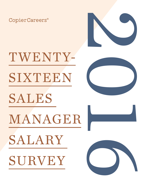CopierCareers®



TWENTY-SIXTEEN SALES MANAGER SALARY SURVEY





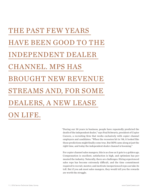## THE PAST FEW YEARS HAVE BEEN GOOD TO THE INDEPENDENT DEALER CHANNEL. MPS HAS BROUGHT NEW REVENUE STREAMS AND, FOR SOME DEALERS, A NEW LEASE ON LIFE.

"During our 30 years in business, people have repeatedly predicted the death of the independent dealer," says Paul Schwartz, president of Copier Careers, a recruiting firm that works exclusively with copier channel employers and candidates. "When the recession hit in '08, it looked like those predictions might finally come true. But MPS came along at just the right time, and today the independent dealer channel is booming."

For copier channel sales mangers, this is as close as it gets to a golden age. Compensation is excellent, satisfaction is high, and optimism has permeated the industry. Naturally, there are challenges. Hiring experienced sales reps has become extremely difficult, and the time commitment required to recruit, mentor, and motivate inexperienced reps can take its toll. But if you ask most sales mangers, they would tell you the rewards are worth the struggle.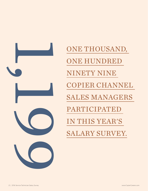

ONE THOUSAND, ONE HUNDRED NINETY NINE COPIER CHANNEL SALES MANAGERS PARTICIPATED IN THIS YEAR'S SALARY SURVEY.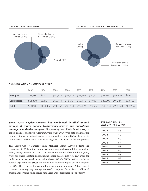

#### **AVERAGE ANNUAL COMPENSATION**

|                   | 2002      | 2004      | 2006      | 2008      | 2010      | 2012      | 2014     | 2015                | 2016      |
|-------------------|-----------|-----------|-----------|-----------|-----------|-----------|----------|---------------------|-----------|
| Base pay          | \$39,800  | \$42,211  | \$44,322  | \$48,678  | \$48,699  | \$54,231  | \$57,525 | \$58,826            | \$59,120  |
| <b>Commission</b> | \$61,300  | \$62,121  | \$66,444  | \$73,136  | \$65,440  | \$77,034  | \$86,209 | \$91,244            | \$93,437  |
| Total             | \$101.100 | \$104,332 | \$110,766 | \$121,814 | \$114,139 | \$131,265 |          | \$143,734 \$150,070 | \$152,557 |

*Since 2002, Copier Careers has conducted detailed annual surveys of copier service technicians, service and operations managers, and sales mangers.* Five years ago, we added a fourth survey of copier channel sales reps. All four surveys track a variety of data and measure how well industry professionals are compensated, how satisfied they are in their careers, and how well their needs align with the needs of their employers.

This year's Copier Careers® Sales Manager Salary Survey reflects the responses of 1,199 copier channel sales managers who completed our online salary survey over the past year. The largest percentage of respondents (39%) work for single-location independent copier dealerships. The rest work for multi-location regional dealerships (26%), OEMs (21%), national sales & service organizations (11%) and other non-specified copier channel employers (3%). Thirty percent of respondents are women, and nearly 70 percent of those surveyed say they manage teams of 10 people or fewer. Both traditional sales managers and selling sales managers are represented in our survey.

#### **AV E R A G E H O U R S WORKED PER WEEK**

| 2002 | 46 |  |
|------|----|--|
| 2004 | 49 |  |
| 2006 | 50 |  |
| 2008 | 54 |  |
| 2010 | 58 |  |
| 2012 | 59 |  |
| 2014 | 58 |  |
| 2015 | 59 |  |
| 2016 | 62 |  |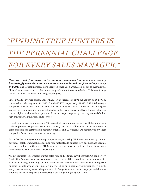## *"FINDING TRUE HUNTERS IS THE PERENNIAL CHALLENGE*

### *FOR EVERY SALES MANAGER."*

*Over the past few years, sales manager compensation has risen steeply, increasingly more than 50 percent since we conducted our first salary survey*  in 2002. The largest increases have occurred since 2010, when MPS began to overtake traditional equipment sales as the industry's predominant service offering. This year things leveled off, with compensation rising only slightly.

Since 2015, the average sales manager has seen an increase of \$294 in base pay and \$2,193 in commission, bringing totals to \$59,120 and \$93,437, respectively. At \$152,557, total average compensation is up less than 2 percent since last year. Nevertheless, half of all sales managers say they're either satisfied or very satisfied with their compensation. Overall job satisfaction is even higher, with nearly 60 percent of sales managers reporting that they are satisfied or very satisfied with their jobs on the whole.

In addition to cash compensation, 99 percent of respondents receive health benefits from their employers, 98 percent receive a company car or car allowance, 34 percent receive compensation for certification reimbursements, and 27 percent are reimbursed by their companies for further education or training.

For both sales managers and the reps they oversee, recurring MPS revenues make up a major portion of total compensation. Keeping reps motivated to hunt for new business has become a serious challenge in the era of MPS annuities, and we have begun to see dealerships tweak their compensation structures accordingly.

"We get requests to recruit for hunter sales reps all the time," says Schwartz. "It can be very frustrating for owners and sales managers to try to reward their people for performance while still incentivizing them to go out and hunt for new accounts and territories. Finding true hunters—people who are intrinsically motivated to push themselves further every month, every quarter, every year—is the perennial challenge for every sales manager, especially now when it's so easy for reps to get comfortable coasting on big MPS contracts."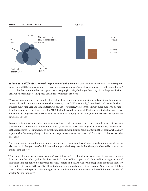

*Why is it so difficult to recruit experienced sales reps?* It comes down to annuities. Recurring revenue from MPS takedowns makes it risky for sales reps to change employers, and as a result we are finding that both sales reps and sales managers are now staying in their jobs longer than they did in the pre-solutions era. For sales managers, this poses a serious recruitment problem.

"Three or four years ago, we could call up almost anybody who was working at a traditional box-pushing dealership and convince them to consider moving to an MPS dealership," says Jessica Crowley, Business Development Manager and Senior Recruiter for Copier Careers. "There was so much more money to be made in selling solutions that it was easy for MPS dealerships to hire sales staff with strong industry experience. But that is no longer the case. MPS annuities have made staying at the same job a more attractive option for experienced reps."

To grow their teams, many sales managers have turned to hiring mostly entry-level people or recruiting sales professionals from outside of the copier industry. While this form of hiring has its advantages, the drawback is that it requires sales managers to invest significant time in training and mentoring their teams, which may explain why the average length of a sales manager's work week has increased from 59 to 62 hours over the past year.

And while hiring from outside the industry is currently easier than hiring experienced copier channel reps, it also has its challenges, one of which is convincing non-industry people that the copier channel is about more than selling copiers.

"The copier channel has an image problem," says Schwartz. "It is almost always necessary to explain to people from outside the industry that this business isn't about selling copiers—it's about selling a huge variety of solutions that happen to be delivered through copiers and MFPs. General perceptions about the industry have not kept pace with the reality of how technologically sophisticated it has become. Which means it takes a lot of effort on the part of sales managers to get good candidates in the door, and to sell them on the idea of working in the industry."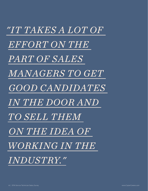*"IT TAKES A LOT OF EFFORT ON THE PART OF SALES MANAGERS TO GET GOOD CANDIDATES IN THE DOOR AND TO SELL THEM ON THE IDEA OF WORKING IN THE INDUSTRY."*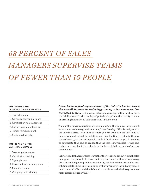## *68 PERCENT OF SALES MANAGERS SUPERVISE TEAMS OF FEWER THAN 10 PEOPLE*

#### **TOP NON-CASH/ INDIRECT CASH REWARDS**

- 1. Health benefits
- 2. Company car/car allowance
- 3. Certification reimbursement
- 4. Further education/training
- 5. Tuition reimbursement
- 6. Stock purchase plan

#### **TOP REASONS FOR EARNING BONUSES**

- 1. Personal performance
- 2. Certification/training
- 3. Signing bonus
- 4. Project milestone completion
- 5. Retention bonus
- 6. Company profit sharing

*As the technological sophistication of the industry has increased, the overall interest in technology among sales managers has increased as well.* Of the issues sales managers say matter most to them, the "ability to work with leading-edge technology" and the "ability to work on creating innovative IT solutions" rank in the top ten.

"Among the newer generation of sales managers, there's a real excitement around new technology and solutions," says Crowley. "This is really one of the only industries I can think of where you can walk into any office and as long as you understand the solutions and take the time to listen to the customers' needs, you can walk out with a sale. I think sales managers have come to appreciate that, and to realize that the more knowledgeable they and their teams are about the technology, the better job they can do of serving their clients."

Schwartz adds that regardless of whether they're excited about it or not, sales managers today have little choice but to get on board with new technology. "OEMs are adding new products constantly, and dealerships are adding new solutions all the time. Just keeping up with what's new in the industry takes a lot of time and effort, and that is bound to continue as the industry becomes more closely aligned with IT."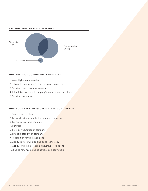#### **ARE YOU LOOKING FOR A NEW JOB?**



#### WHY ARE YOU LOOKING FOR A NEW JOB?

|  | 1. Want higher compensation |
|--|-----------------------------|
|--|-----------------------------|

- 2. Job market opportunities are too good to pass up
- 3. Seeking a more dynamic company
- 4. I don't like my current company's management or culture
- 5. Seeking less stress

#### WHICH JOB-RELATED ISSUES MATTER MOST TO YOU?

- 2. My work is important to the company's success
- 3. Company-provided computer
- 4. Benefits
- 5. Prestige/reputation of company
- 6. Financial stability of company
- 7. Recognition for work well done
- 8. Ability to work with leading-edge technology
- 9. Ability to work on creating innovative IT solutions
- 10. Seeing how my job helps achieve company goals